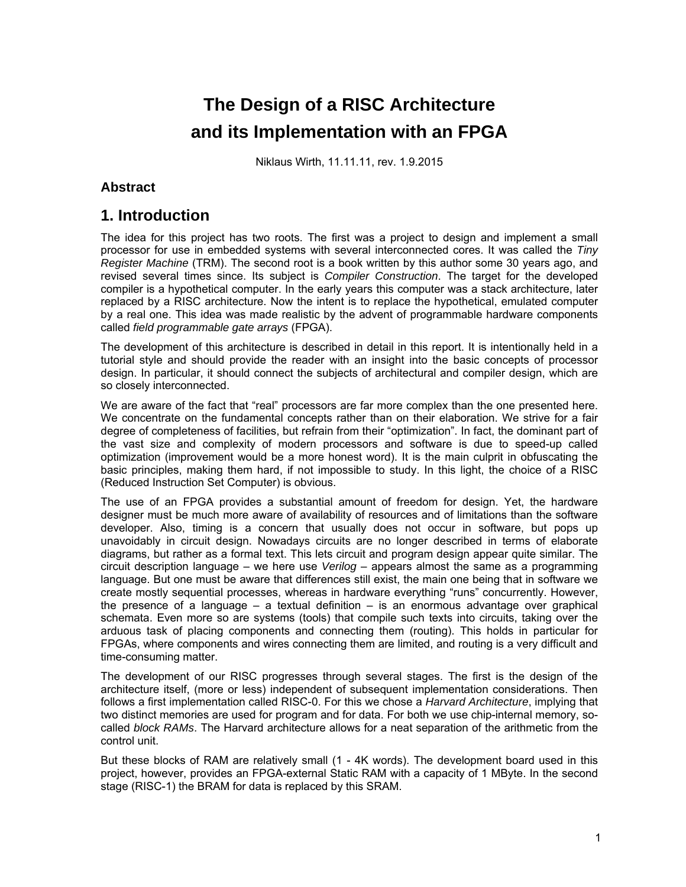# **The Design of a RISC Architecture and its Implementation with an FPGA**

Niklaus Wirth, 11.11.11, rev. 1.9.2015

#### **Abstract**

# **1. Introduction**

The idea for this project has two roots. The first was a project to design and implement a small processor for use in embedded systems with several interconnected cores. It was called the *Tiny Register Machine* (TRM). The second root is a book written by this author some 30 years ago, and revised several times since. Its subject is *Compiler Construction*. The target for the developed compiler is a hypothetical computer. In the early years this computer was a stack architecture, later replaced by a RISC architecture. Now the intent is to replace the hypothetical, emulated computer by a real one. This idea was made realistic by the advent of programmable hardware components called *field programmable gate arrays* (FPGA).

The development of this architecture is described in detail in this report. It is intentionally held in a tutorial style and should provide the reader with an insight into the basic concepts of processor design. In particular, it should connect the subjects of architectural and compiler design, which are so closely interconnected.

We are aware of the fact that "real" processors are far more complex than the one presented here. We concentrate on the fundamental concepts rather than on their elaboration. We strive for a fair degree of completeness of facilities, but refrain from their "optimization". In fact, the dominant part of the vast size and complexity of modern processors and software is due to speed-up called optimization (improvement would be a more honest word). It is the main culprit in obfuscating the basic principles, making them hard, if not impossible to study. In this light, the choice of a RISC (Reduced Instruction Set Computer) is obvious.

The use of an FPGA provides a substantial amount of freedom for design. Yet, the hardware designer must be much more aware of availability of resources and of limitations than the software developer. Also, timing is a concern that usually does not occur in software, but pops up unavoidably in circuit design. Nowadays circuits are no longer described in terms of elaborate diagrams, but rather as a formal text. This lets circuit and program design appear quite similar. The circuit description language – we here use *Verilog* – appears almost the same as a programming language. But one must be aware that differences still exist, the main one being that in software we create mostly sequential processes, whereas in hardware everything "runs" concurrently. However, the presence of a language  $-$  a textual definition  $-$  is an enormous advantage over graphical schemata. Even more so are systems (tools) that compile such texts into circuits, taking over the arduous task of placing components and connecting them (routing). This holds in particular for FPGAs, where components and wires connecting them are limited, and routing is a very difficult and time-consuming matter.

The development of our RISC progresses through several stages. The first is the design of the architecture itself, (more or less) independent of subsequent implementation considerations. Then follows a first implementation called RISC-0. For this we chose a *Harvard Architecture*, implying that two distinct memories are used for program and for data. For both we use chip-internal memory, socalled *block RAMs*. The Harvard architecture allows for a neat separation of the arithmetic from the control unit.

But these blocks of RAM are relatively small (1 - 4K words). The development board used in this project, however, provides an FPGA-external Static RAM with a capacity of 1 MByte. In the second stage (RISC-1) the BRAM for data is replaced by this SRAM.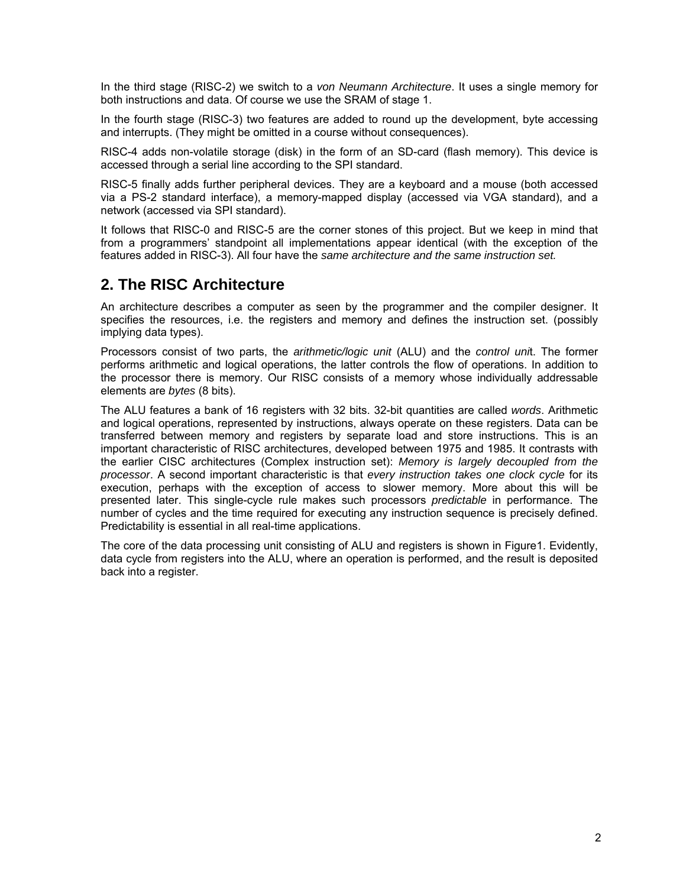In the third stage (RISC-2) we switch to a *von Neumann Architecture*. It uses a single memory for both instructions and data. Of course we use the SRAM of stage 1.

In the fourth stage (RISC-3) two features are added to round up the development, byte accessing and interrupts. (They might be omitted in a course without consequences).

RISC-4 adds non-volatile storage (disk) in the form of an SD-card (flash memory). This device is accessed through a serial line according to the SPI standard.

RISC-5 finally adds further peripheral devices. They are a keyboard and a mouse (both accessed via a PS-2 standard interface), a memory-mapped display (accessed via VGA standard), and a network (accessed via SPI standard).

It follows that RISC-0 and RISC-5 are the corner stones of this project. But we keep in mind that from a programmers' standpoint all implementations appear identical (with the exception of the features added in RISC-3). All four have the *same architecture and the same instruction set.*

# **2. The RISC Architecture**

An architecture describes a computer as seen by the programmer and the compiler designer. It specifies the resources, i.e. the registers and memory and defines the instruction set. (possibly implying data types).

Processors consist of two parts, the *arithmetic/logic unit* (ALU) and the *control uni*t. The former performs arithmetic and logical operations, the latter controls the flow of operations. In addition to the processor there is memory. Our RISC consists of a memory whose individually addressable elements are *bytes* (8 bits).

The ALU features a bank of 16 registers with 32 bits. 32-bit quantities are called *words*. Arithmetic and logical operations, represented by instructions, always operate on these registers. Data can be transferred between memory and registers by separate load and store instructions. This is an important characteristic of RISC architectures, developed between 1975 and 1985. It contrasts with the earlier CISC architectures (Complex instruction set): *Memory is largely decoupled from the processor*. A second important characteristic is that *every instruction takes one clock cycle* for its execution, perhaps with the exception of access to slower memory. More about this will be presented later. This single-cycle rule makes such processors *predictable* in performance. The number of cycles and the time required for executing any instruction sequence is precisely defined. Predictability is essential in all real-time applications.

The core of the data processing unit consisting of ALU and registers is shown in Figure1. Evidently, data cycle from registers into the ALU, where an operation is performed, and the result is deposited back into a register.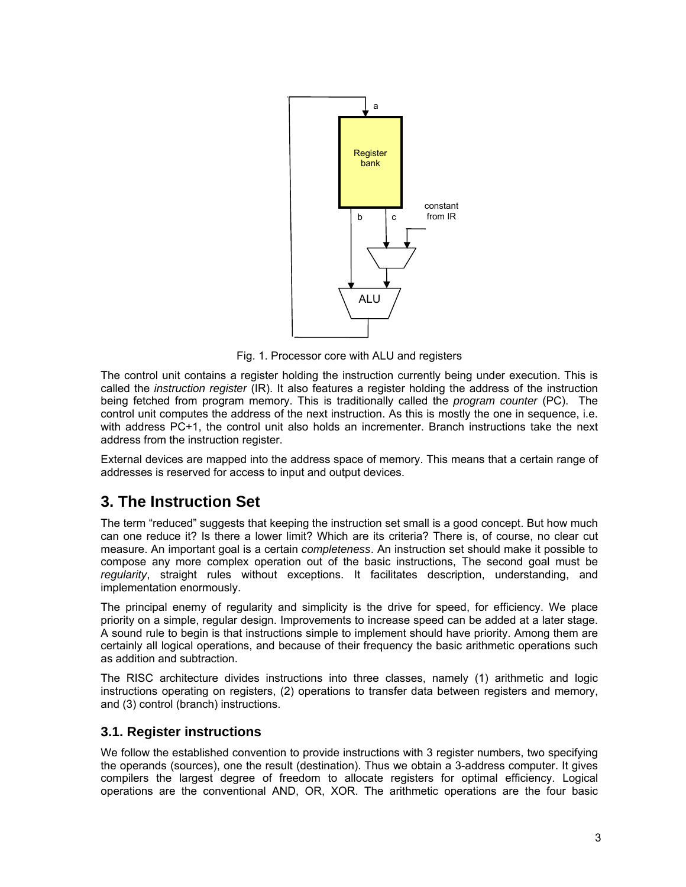

Fig. 1. Processor core with ALU and registers

The control unit contains a register holding the instruction currently being under execution. This is called the *instruction register* (IR). It also features a register holding the address of the instruction being fetched from program memory. This is traditionally called the *program counter* (PC). The control unit computes the address of the next instruction. As this is mostly the one in sequence, i.e. with address PC+1, the control unit also holds an incrementer. Branch instructions take the next address from the instruction register.

External devices are mapped into the address space of memory. This means that a certain range of addresses is reserved for access to input and output devices.

# **3. The Instruction Set**

The term "reduced" suggests that keeping the instruction set small is a good concept. But how much can one reduce it? Is there a lower limit? Which are its criteria? There is, of course, no clear cut measure. An important goal is a certain *completeness*. An instruction set should make it possible to compose any more complex operation out of the basic instructions, The second goal must be *regularity*, straight rules without exceptions. It facilitates description, understanding, and implementation enormously.

The principal enemy of regularity and simplicity is the drive for speed, for efficiency. We place priority on a simple, regular design. Improvements to increase speed can be added at a later stage. A sound rule to begin is that instructions simple to implement should have priority. Among them are certainly all logical operations, and because of their frequency the basic arithmetic operations such as addition and subtraction.

The RISC architecture divides instructions into three classes, namely (1) arithmetic and logic instructions operating on registers, (2) operations to transfer data between registers and memory, and (3) control (branch) instructions.

# **3.1. Register instructions**

We follow the established convention to provide instructions with 3 register numbers, two specifying the operands (sources), one the result (destination). Thus we obtain a 3-address computer. It gives compilers the largest degree of freedom to allocate registers for optimal efficiency. Logical operations are the conventional AND, OR, XOR. The arithmetic operations are the four basic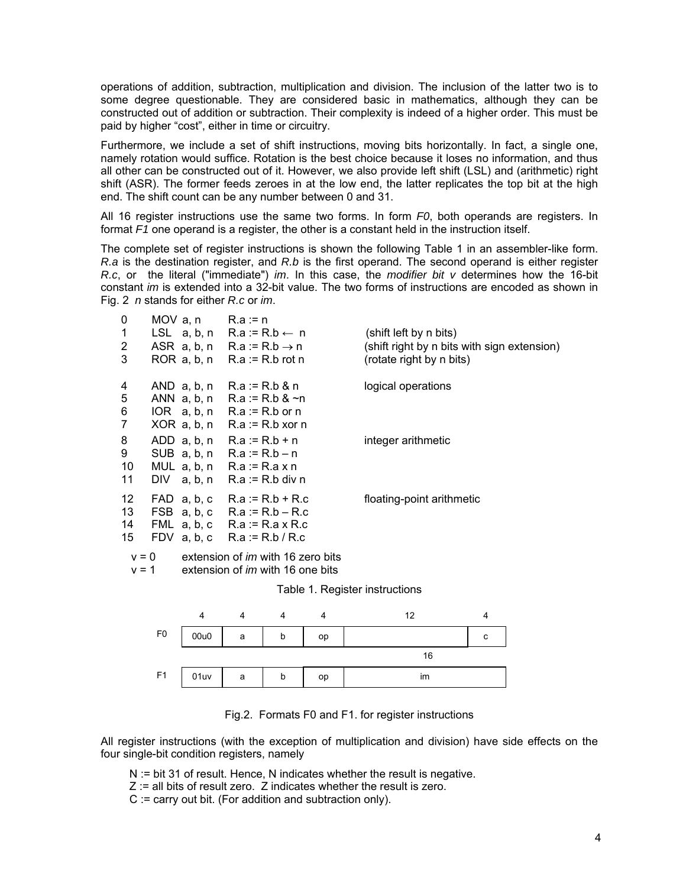operations of addition, subtraction, multiplication and division. The inclusion of the latter two is to some degree questionable. They are considered basic in mathematics, although they can be constructed out of addition or subtraction. Their complexity is indeed of a higher order. This must be paid by higher "cost", either in time or circuitry.

Furthermore, we include a set of shift instructions, moving bits horizontally. In fact, a single one, namely rotation would suffice. Rotation is the best choice because it loses no information, and thus all other can be constructed out of it. However, we also provide left shift (LSL) and (arithmetic) right shift (ASR). The former feeds zeroes in at the low end, the latter replicates the top bit at the high end. The shift count can be any number between 0 and 31.

All 16 register instructions use the same two forms. In form *F0*, both operands are registers. In format *F1* one operand is a register, the other is a constant held in the instruction itself.

The complete set of register instructions is shown the following Table 1 in an assembler-like form. *R.a* is the destination register, and *R.b* is the first operand. The second operand is either register *R.c*, or the literal ("immediate") *im*. In this case, the *modifier bit v* determines how the 16-bit constant *im* is extended into a 32-bit value. The two forms of instructions are encoded as shown in Fig. 2 *n* stands for either *R.c* or *im*.

| 0               | MOV $a, n$ R. $a := n$ |                                          |                                             |
|-----------------|------------------------|------------------------------------------|---------------------------------------------|
| $\mathbf{1}$    |                        | LSL $a, b, n$ R.a:=R.b $\leftarrow$ n    | (shift left by n bits)                      |
| $\overline{2}$  |                        | ASR $a, b, n$ R.a := R.b $\rightarrow$ n | (shift right by n bits with sign extension) |
| 3               |                        | ROR $a, b, n$ R. $a := R.b$ rot n        | (rotate right by n bits)                    |
|                 |                        |                                          |                                             |
| 4               |                        | AND $a, b, n$ R. $a := R.b & n$          | logical operations                          |
| $5\phantom{.0}$ |                        | ANN $a, b, n$ R.a := R.b & ~n            |                                             |
| 6               |                        | IOR $a, b, n$ R.a := R.b or n            |                                             |
| $\overline{7}$  |                        | $XOR$ a, b, n R.a := R.b xor n           |                                             |
| 8               |                        | ADD $a, b, n$ R. $a := R.b + n$          | integer arithmetic                          |
| 9               |                        | SUB $a, b, n$ R. $a := R.b - n$          |                                             |
| 10              |                        | MUL $a, b, n$ R.a := R.a x n             |                                             |
| 11              |                        | DIV $a, b, n$ R.a := R.b div n           |                                             |
|                 |                        |                                          |                                             |
| 12              |                        | FAD $a, b, c$ R.a := R.b + R.c           | floating-point arithmetic                   |
| 13              |                        | FSB $a, b, c$ R. $a := R.b - R.c$        |                                             |
| 14              |                        | FML $a, b, c$ R. $a := R.a \times R.c$   |                                             |
| 15              |                        | FDV $a, b, c$ R.a := R.b / R.c           |                                             |
| $v = 0$         |                        | extension of <i>im</i> with 16 zero bits |                                             |
| $v = 1$         |                        | extension of <i>im</i> with 16 one bits  |                                             |





Fig.2. Formats F0 and F1. for register instructions

All register instructions (with the exception of multiplication and division) have side effects on the four single-bit condition registers, namely

- N := bit 31 of result. Hence, N indicates whether the result is negative.
- Z := all bits of result zero. Z indicates whether the result is zero.
- C := carry out bit. (For addition and subtraction only).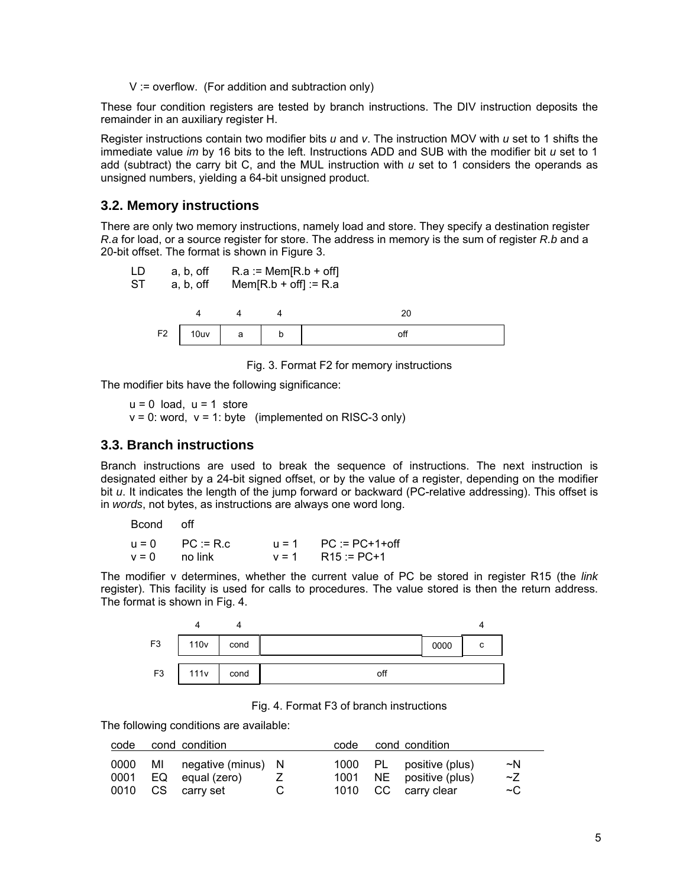V := overflow. (For addition and subtraction only)

These four condition registers are tested by branch instructions. The DIV instruction deposits the remainder in an auxiliary register H.

Register instructions contain two modifier bits *u* and *v*. The instruction MOV with *u* set to 1 shifts the immediate value *im* by 16 bits to the left. Instructions ADD and SUB with the modifier bit *u* set to 1 add (subtract) the carry bit C, and the MUL instruction with *u* set to 1 considers the operands as unsigned numbers, yielding a 64-bit unsigned product.

### **3.2. Memory instructions**

There are only two memory instructions, namely load and store. They specify a destination register *R.a* for load, or a source register for store. The address in memory is the sum of register *R.b* and a 20-bit offset. The format is shown in Figure 3.



Fig. 3. Format F2 for memory instructions

The modifier bits have the following significance:

 $u = 0$  load,  $u = 1$  store  $v = 0$ : word,  $v = 1$ : byte (implemented on RISC-3 only)

#### **3.3. Branch instructions**

Branch instructions are used to break the sequence of instructions. The next instruction is designated either by a 24-bit signed offset, or by the value of a register, depending on the modifier bit *u*. It indicates the length of the jump forward or backward (PC-relative addressing). This offset is in *words*, not bytes, as instructions are always one word long.

Bcond off

 $u = 0$  PC := R.c  $u = 1$  PC := PC+1+off  $v = 0$  no link  $v = 1$  R15 := PC+1

The modifier v determines, whether the current value of PC be stored in register R15 (the *link* register). This facility is used for calls to procedures. The value stored is then the return address. The format is shown in Fig. 4.



Fig. 4. Format F3 of branch instructions

The following conditions are available:

| code | cond condition                                                     | code | cond condition                                                            |                     |
|------|--------------------------------------------------------------------|------|---------------------------------------------------------------------------|---------------------|
| 0000 | MI negative (minus) N<br>0001 EQ equal (zero)<br>0010 CS carry set |      | 1000 PL positive (plus)<br>1001 NE positive (plus)<br>1010 CC carry clear | ~N<br>Z<br>$\sim$ C |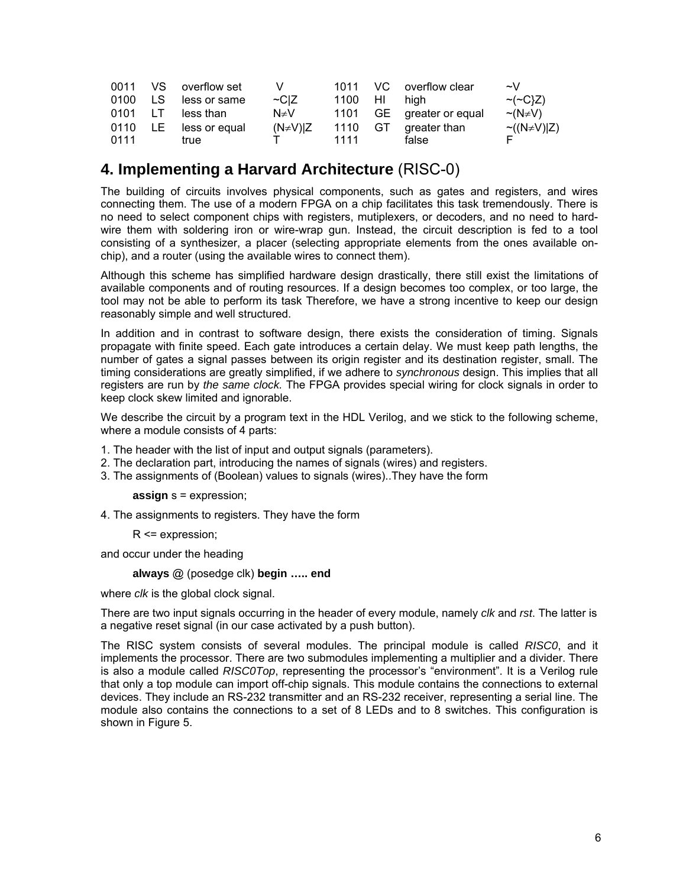|         |     | 0011 VS overflow set | v          |         | 1011 VC overflow clear   | $\sim$ V             |
|---------|-----|----------------------|------------|---------|--------------------------|----------------------|
| 0100    | LS  | less or same         | $\sim$ C Z | 1100 HI | hiah                     | $\sim$ ( $\sim$ C}Z) |
| 0101 LT |     | less than            | N≠V        |         | 1101 GE greater or equal | $\sim$ (N $\neq$ V)  |
| 0110    | LE. | less or equal        | (N≠V) Z    | 1110 GT | greater than             | $\sim((N\neq V) Z)$  |
| 0111    |     | true                 |            | 1111    | false                    |                      |

# **4. Implementing a Harvard Architecture** (RISC-0)

The building of circuits involves physical components, such as gates and registers, and wires connecting them. The use of a modern FPGA on a chip facilitates this task tremendously. There is no need to select component chips with registers, mutiplexers, or decoders, and no need to hardwire them with soldering iron or wire-wrap gun. Instead, the circuit description is fed to a tool consisting of a synthesizer, a placer (selecting appropriate elements from the ones available onchip), and a router (using the available wires to connect them).

Although this scheme has simplified hardware design drastically, there still exist the limitations of available components and of routing resources. If a design becomes too complex, or too large, the tool may not be able to perform its task Therefore, we have a strong incentive to keep our design reasonably simple and well structured.

In addition and in contrast to software design, there exists the consideration of timing. Signals propagate with finite speed. Each gate introduces a certain delay. We must keep path lengths, the number of gates a signal passes between its origin register and its destination register, small. The timing considerations are greatly simplified, if we adhere to *synchronous* design. This implies that all registers are run by *the same clock.* The FPGA provides special wiring for clock signals in order to keep clock skew limited and ignorable.

We describe the circuit by a program text in the HDL Verilog, and we stick to the following scheme, where a module consists of 4 parts:

- 1. The header with the list of input and output signals (parameters).
- 2. The declaration part, introducing the names of signals (wires) and registers.
- 3. The assignments of (Boolean) values to signals (wires)..They have the form

**assign** s = expression;

4. The assignments to registers. They have the form

R <= expression;

and occur under the heading

**always** @ (posedge clk) **begin ….. end**

where *clk* is the global clock signal.

There are two input signals occurring in the header of every module, namely *clk* and *rst*. The latter is a negative reset signal (in our case activated by a push button).

The RISC system consists of several modules. The principal module is called *RISC0*, and it implements the processor. There are two submodules implementing a multiplier and a divider. There is also a module called *RISC0Top*, representing the processor's "environment". It is a Verilog rule that only a top module can import off-chip signals. This module contains the connections to external devices. They include an RS-232 transmitter and an RS-232 receiver, representing a serial line. The module also contains the connections to a set of 8 LEDs and to 8 switches. This configuration is shown in Figure 5.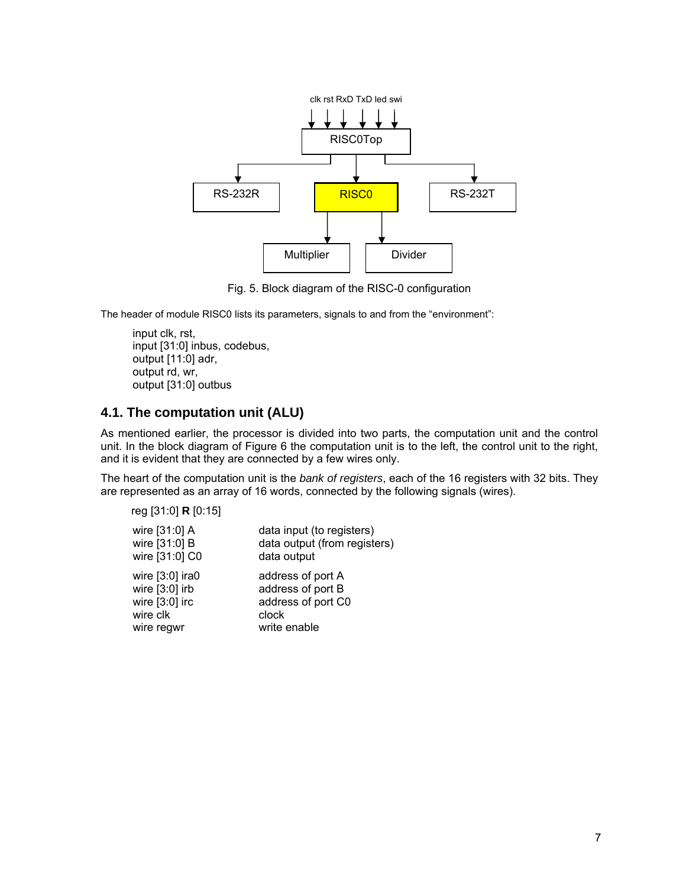

Fig. 5. Block diagram of the RISC-0 configuration

The header of module RISC0 lists its parameters, signals to and from the "environment":

input clk, rst, input [31:0] inbus, codebus, output [11:0] adr, output rd, wr, output [31:0] outbus

# **4.1. The computation unit (ALU)**

As mentioned earlier, the processor is divided into two parts, the computation unit and the control unit. In the block diagram of Figure 6 the computation unit is to the left, the control unit to the right, and it is evident that they are connected by a few wires only.

The heart of the computation unit is the *bank of registers*, each of the 16 registers with 32 bits. They are represented as an array of 16 words, connected by the following signals (wires).

reg [31:0] **R** [0:15]

| wire [31:0] A     | data input (to registers)    |
|-------------------|------------------------------|
| wire [31:0] B     | data output (from registers) |
| wire [31:0] C0    | data output                  |
| wire $[3:0]$ ira0 | address of port A            |
| wire $[3:0]$ irb  | address of port B            |
| wire $[3:0]$ irc  | address of port C0           |
| wire clk          | clock                        |
| wire regwr        | write enable                 |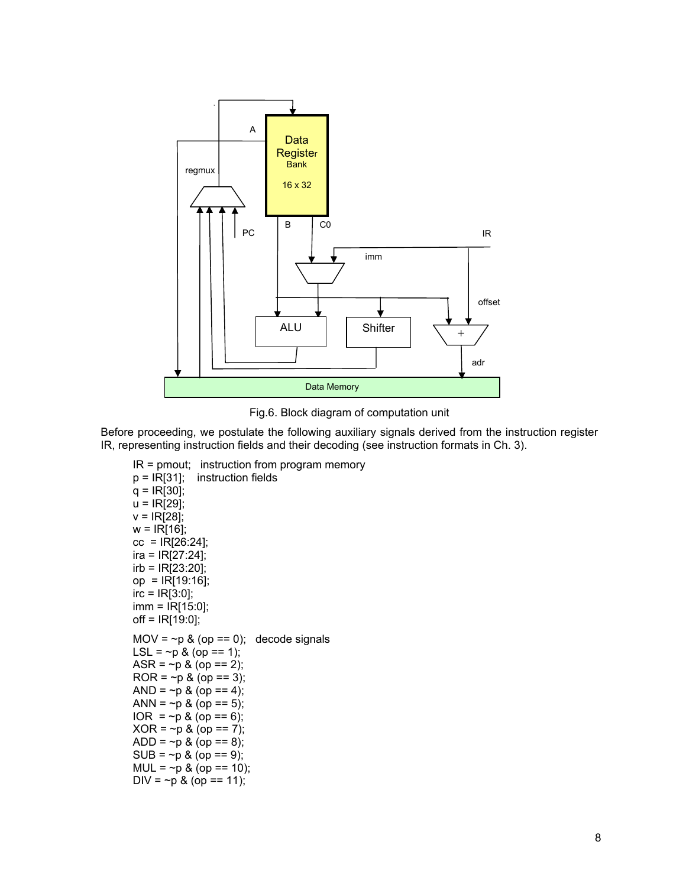

Fig.6. Block diagram of computation unit

Before proceeding, we postulate the following auxiliary signals derived from the instruction register IR, representing instruction fields and their decoding (see instruction formats in Ch. 3).

```
IR = pmout; instruction from program memory 
p = IR[31]; instruction fields 
q = IR[30];
u = IR[29]; 
v = IR[28];
w = IR[16];
cc = IR[26:24]; 
ira = IR[27:24]; 
irb = IR[23:20]; 
op = IR[19:16]; 
irc = IR[3:0];
imm = IR[15:0]; 
off = IR[19:0]; 
MOV = \neg p & (op == 0); decode signals
LSL = \neg p \& (op == 1);ASR = \neg p & (op == 2);
ROR = \neg p & (op == 3);
AND = \neg p \& (op == 4);ANN = \neg p & (op == 5);
IOR = \neg p & (op == 6);
XOR = -p & (op == 7);ADD = \neg p & (op == 8);
SUB = \neg p & (op == 9);
MUL = \sim p & (op == 10);
DIV = \neg p & (op == 11);
```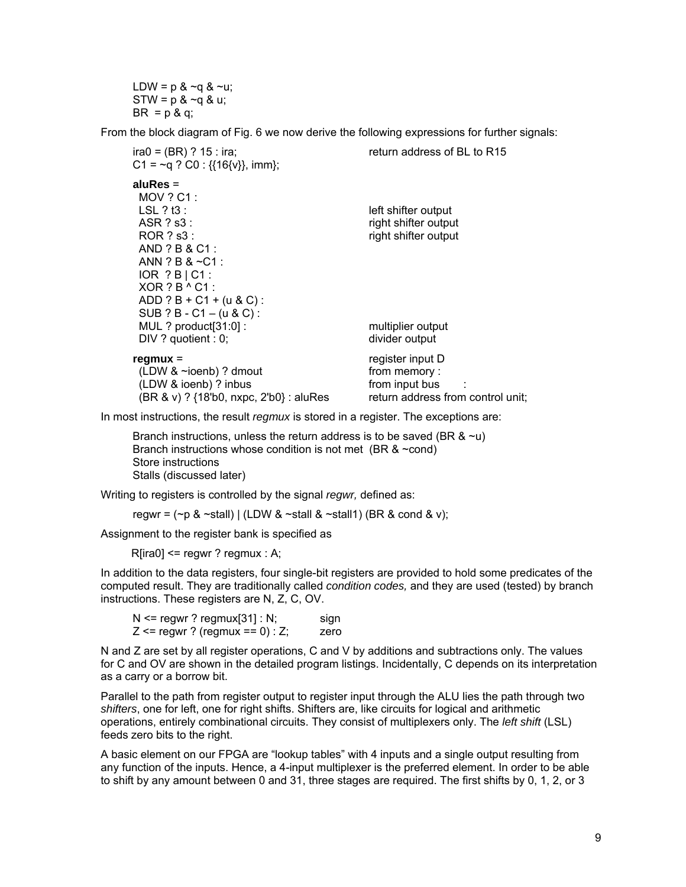LDW =  $p < q < q$ .  $STW = p < q < u$ ;  $BR = p & q$ ;

From the block diagram of Fig. 6 we now derive the following expressions for further signals:

| $ira0 = (BR)$ ? 15 : ira;<br>C1 = ~q ? C0 : { $\{16\}$ }, imm};                                                                                                                                                                                              | return address of BL to R15                                                               |
|--------------------------------------------------------------------------------------------------------------------------------------------------------------------------------------------------------------------------------------------------------------|-------------------------------------------------------------------------------------------|
| alu $Res =$<br>$MOV$ ? $C1$ :<br>LSL $?$ t3 :<br>$ASR$ ? s3 :<br>ROR ? s3 :<br>$AND ? B & C1$ :<br>ANN ? B & $\sim$ C1 :<br>$IOR$ ? $B$   $C1$ :<br>$XOR ? B ^ C1$ :<br>$ADD ? B + C1 + (u & C)$ :<br>$SUB ? B - C1 - (u & C)$ :<br>MUL ? product $[31:0]$ : | left shifter output<br>right shifter output<br>right shifter output<br>multiplier output  |
| DIV ? quotient : 0;                                                                                                                                                                                                                                          | divider output                                                                            |
| $regmu x =$<br>(LDW & ~ioenb) ? dmout<br>(LDW & ioenb) ? inbus<br>(BR & v) ? {18'b0, nxpc, 2'b0} : aluRes                                                                                                                                                    | register input D<br>from memory:<br>from input bus :<br>return address from control unit: |

In most instructions, the result *regmux* is stored in a register. The exceptions are:

Branch instructions, unless the return address is to be saved (BR  $<$ u) Branch instructions whose condition is not met (BR  $&$  ~cond) Store instructions Stalls (discussed later)

Writing to registers is controlled by the signal *regwr,* defined as:

regwr =  $(\sim p \& \sim$ stall) | (LDW &  $\sim$ stall &  $\sim$ stall1) (BR & cond & v);

Assignment to the register bank is specified as

 $R[ira0] \leq r$  regwr ? regmux : A;

In addition to the data registers, four single-bit registers are provided to hold some predicates of the computed result. They are traditionally called *condition codes,* and they are used (tested) by branch instructions. These registers are N, Z, C, OV.

 $N \leq$  regwr? regmux[31] : N; sign  $Z \leq$  regwr ? (regmux == 0) : Z; zero

N and Z are set by all register operations, C and V by additions and subtractions only. The values for C and OV are shown in the detailed program listings. Incidentally, C depends on its interpretation as a carry or a borrow bit.

Parallel to the path from register output to register input through the ALU lies the path through two *shifters*, one for left, one for right shifts. Shifters are, like circuits for logical and arithmetic operations, entirely combinational circuits. They consist of multiplexers only. The *left shift* (LSL) feeds zero bits to the right.

A basic element on our FPGA are "lookup tables" with 4 inputs and a single output resulting from any function of the inputs. Hence, a 4-input multiplexer is the preferred element. In order to be able to shift by any amount between 0 and 31, three stages are required. The first shifts by 0, 1, 2, or 3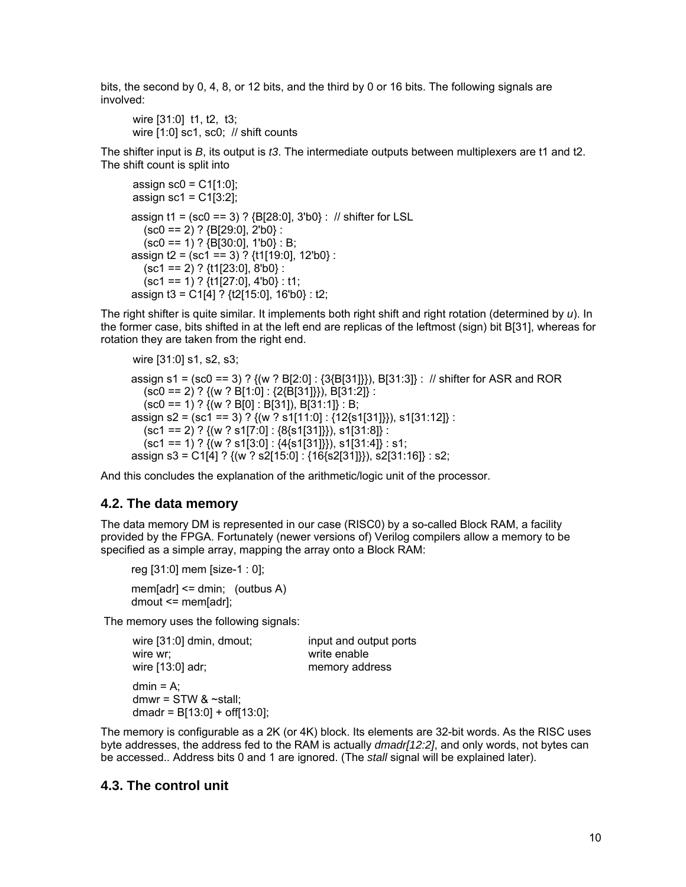bits, the second by 0, 4, 8, or 12 bits, and the third by 0 or 16 bits. The following signals are involved:

wire [31:0] t1, t2, t3; wire [1:0] sc1, sc0; // shift counts

The shifter input is *B*, its output is *t3*. The intermediate outputs between multiplexers are t1 and t2. The shift count is split into

```
assign \text{sc0} = C1[1:0];
assign sc1 = C1[3:2];
assign t1 = (sc0 == 3) ? {B[28:0], 3'b0} : // shifter for LSL 
  (sc0 == 2) ? {B[29:0]}, 2'b0 :
  (sc0 == 1) ? {B[30:0]}, 1'b0} : B;
assign t2 = (sc1 == 3) ? {t1[19:0], 12'b0} : 
  (sc1 == 2) ? \{t1[23:0], 8'b0\} :
   (sc1 == 1) ? {t1[27:0], 4'b0} : t1; 
assign t3 = C1[4] ? {t2[15:0], 16'b0} : t2;
```
The right shifter is quite similar. It implements both right shift and right rotation (determined by *u*). In the former case, bits shifted in at the left end are replicas of the leftmost (sign) bit B[31], whereas for rotation they are taken from the right end.

```
wire [31:0] s1, s2, s3;
```

```
assign s1 = (sc0 == 3) ? {(w ? B[2:0] : {3{B[31]}}), B[31:3]} : // shifter for ASR and ROR 
   (sc0 == 2) ? \{(w ? B[1:0] : \{2\{B[31]\}\}), B[31:2]\}:
   (sc0 == 1) ? {(w ? B[0] : B[31]), B[31:1]} : B;assign s2 = (sc1 == 3) ? {(w ? s1[11:0] : {12{s1[31]}}), s1[31:12]} : 
   (sc1 == 2) ? {(w ? s1[7:0] : {8[s1[31]}]}), s1[31:8]} :
   (\text{sc1} == 1) ? \{(\text{w} ? \text{ s1}[3:0] : \{4\}\text{ s1}[31]\}), \text{ s1}[31:4] : s1;
assign s3 = C1[4] ? {(w ? s2[15:0] : {16{s2[31]}}), s2[31:16]} : s2;
```
And this concludes the explanation of the arithmetic/logic unit of the processor.

### **4.2. The data memory**

The data memory DM is represented in our case (RISC0) by a so-called Block RAM, a facility provided by the FPGA. Fortunately (newer versions of) Verilog compilers allow a memory to be specified as a simple array, mapping the array onto a Block RAM:

reg [31:0] mem [size-1 : 0];

mem[adr]  $\le$  dmin; (outbus A) dmout <= mem[adr];

The memory uses the following signals:

| wire [31:0] dmin, dmout;                                                        | input and output ports |
|---------------------------------------------------------------------------------|------------------------|
| wire wr:                                                                        | write enable           |
| wire $[13:0]$ adr;                                                              | memory address         |
| $dmin = A$ :<br>dmwr = $STW$ & $\sim$ stall;<br>dmadr = $B[13:0] + off[13:0]$ ; |                        |

The memory is configurable as a 2K (or 4K) block. Its elements are 32-bit words. As the RISC uses byte addresses, the address fed to the RAM is actually *dmadr[12:2]*, and only words, not bytes can be accessed.. Address bits 0 and 1 are ignored. (The *stall* signal will be explained later).

### **4.3. The control unit**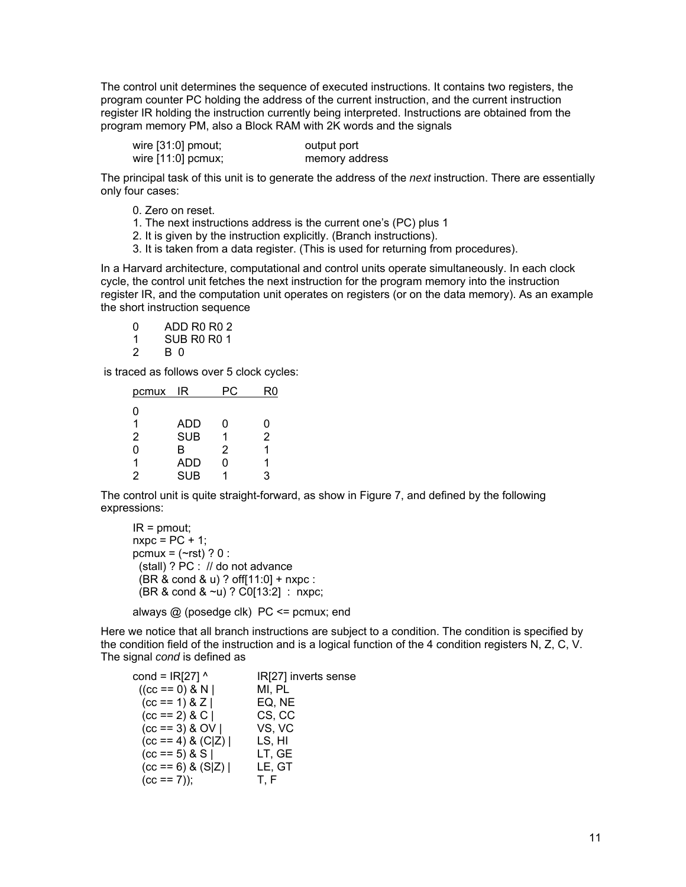The control unit determines the sequence of executed instructions. It contains two registers, the program counter PC holding the address of the current instruction, and the current instruction register IR holding the instruction currently being interpreted. Instructions are obtained from the program memory PM, also a Block RAM with 2K words and the signals

wire [31:0] pmout; output port wire [11:0] pcmux; memory address

The principal task of this unit is to generate the address of the *next* instruction. There are essentially only four cases:

- 0. Zero on reset.
- 1. The next instructions address is the current one's (PC) plus 1
- 2. It is given by the instruction explicitly. (Branch instructions).
- 3. It is taken from a data register. (This is used for returning from procedures).

In a Harvard architecture, computational and control units operate simultaneously. In each clock cycle, the control unit fetches the next instruction for the program memory into the instruction register IR, and the computation unit operates on registers (or on the data memory). As an example the short instruction sequence

| $\Omega$ | ADD R <sub>0</sub> R <sub>0</sub> 2 |
|----------|-------------------------------------|
| -1       | SUB R <sub>0</sub> R <sub>0</sub> 1 |
| 2        | B 0                                 |

is traced as follows over 5 clock cycles:

| pcmux | IR         |   | R٥             |
|-------|------------|---|----------------|
| O     |            |   |                |
| 1     | ADD        | ი | 0              |
| 2     | <b>SUB</b> |   | $\overline{2}$ |
| O     | в          | 2 |                |
| 1     | ADD        | N |                |
| 2     | <b>SUB</b> |   | 3              |

The control unit is quite straight-forward, as show in Figure 7, and defined by the following expressions:

```
IR = pmout;
n \times p \cdot c = PC + 1;
pcmux = (-rst) ? 0:
  (stall) ? PC : // do not advance 
  (BR & cond & u) ? off[11:0] + nxpc : 
  (BR & cond & ~u) ? C0[13:2] : nxpc;
```
always @ (posedge clk) PC <= pcmux; end

Here we notice that all branch instructions are subject to a condition. The condition is specified by the condition field of the instruction and is a logical function of the 4 condition registers N, Z, C, V. The signal *cond* is defined as

| cond = $IR[27]$ ^     | IR[27] inverts sense |
|-----------------------|----------------------|
| $((cc == 0) & N)$     | MI, PL               |
| $(cc == 1) & Z$       | EQ, NE               |
| $(cc == 2) & C$       | CS, CC               |
| $(cc == 3) & OV$      | VS, VC               |
| $(cc == 4) & (C Z)$   | LS, HI               |
| $(cc == 5) & S$       | LT, GE               |
| $(cc == 6)$ & $(S Z)$ | LE, GT               |
| $(cc == 7)$ ;         | T.F                  |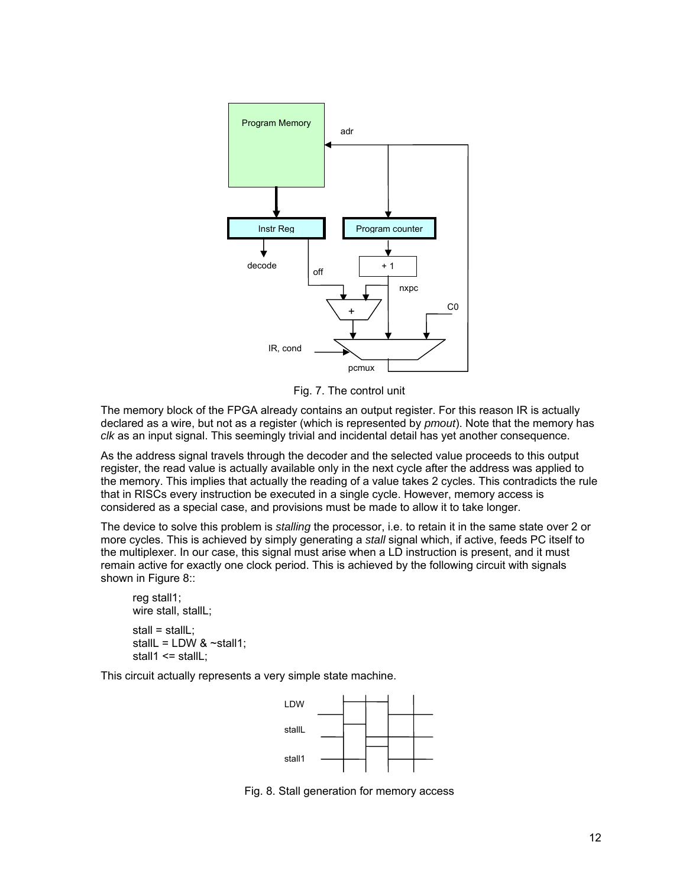

Fig. 7. The control unit

The memory block of the FPGA already contains an output register. For this reason IR is actually declared as a wire, but not as a register (which is represented by *pmout*). Note that the memory has *clk* as an input signal. This seemingly trivial and incidental detail has yet another consequence.

As the address signal travels through the decoder and the selected value proceeds to this output register, the read value is actually available only in the next cycle after the address was applied to the memory. This implies that actually the reading of a value takes 2 cycles. This contradicts the rule that in RISCs every instruction be executed in a single cycle. However, memory access is considered as a special case, and provisions must be made to allow it to take longer.

The device to solve this problem is *stalling* the processor, i.e. to retain it in the same state over 2 or more cycles. This is achieved by simply generating a *stall* signal which, if active, feeds PC itself to the multiplexer. In our case, this signal must arise when a LD instruction is present, and it must remain active for exactly one clock period. This is achieved by the following circuit with signals shown in Figure 8::

```
reg stall1; 
wire stall, stallL; 
stall = stall:
stallL = LDW < ~stall1;
stall1 \le stallL;
```
This circuit actually represents a very simple state machine.



Fig. 8. Stall generation for memory access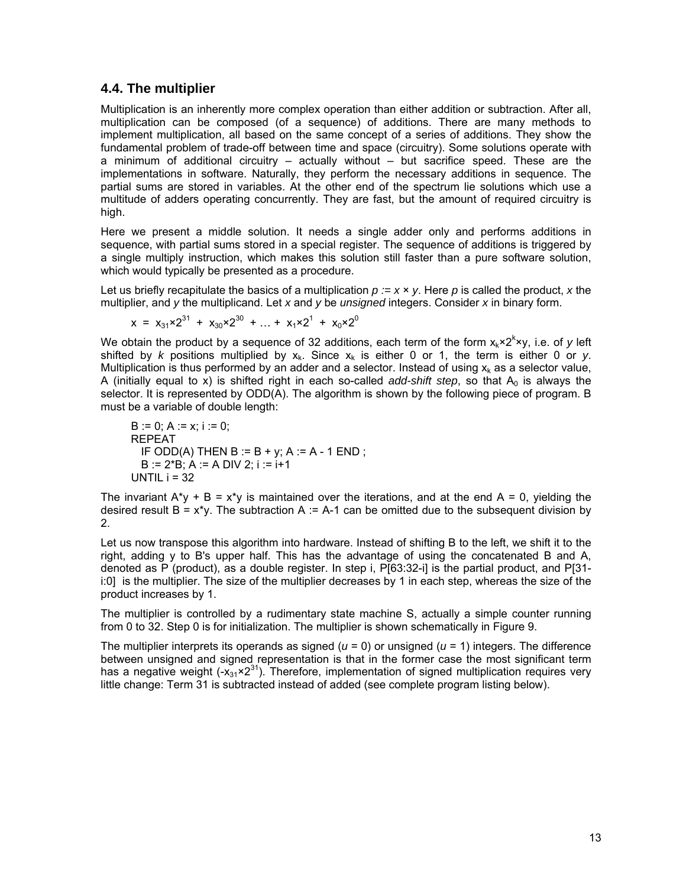### **4.4. The multiplier**

Multiplication is an inherently more complex operation than either addition or subtraction. After all, multiplication can be composed (of a sequence) of additions. There are many methods to implement multiplication, all based on the same concept of a series of additions. They show the fundamental problem of trade-off between time and space (circuitry). Some solutions operate with a minimum of additional circuitry – actually without – but sacrifice speed. These are the implementations in software. Naturally, they perform the necessary additions in sequence. The partial sums are stored in variables. At the other end of the spectrum lie solutions which use a multitude of adders operating concurrently. They are fast, but the amount of required circuitry is high.

Here we present a middle solution. It needs a single adder only and performs additions in sequence, with partial sums stored in a special register. The sequence of additions is triggered by a single multiply instruction, which makes this solution still faster than a pure software solution, which would typically be presented as a procedure.

Let us briefly recapitulate the basics of a multiplication  $p := x \times y$ . Here p is called the product, x the multiplier, and *y* the multiplicand. Let *x* and *y* be *unsigned* integers. Consider *x* in binary form.

$$
x = x_{31} \times 2^{31} + x_{30} \times 2^{30} + ... + x_1 \times 2^1 + x_0 \times 2^0
$$

We obtain the product by a sequence of 32 additions, each term of the form  $x_k \times 2^k \times y$ , i.e. of y left shifted by *k* positions multiplied by  $x_k$ . Since  $x_k$  is either 0 or 1, the term is either 0 or *y*. Multiplication is thus performed by an adder and a selector. Instead of using  $x_k$  as a selector value, A (initially equal to x) is shifted right in each so-called *add-shift step*, so that  $A_0$  is always the selector. It is represented by ODD(A). The algorithm is shown by the following piece of program. B must be a variable of double length:

B := 0; A := x; i := 0; REPEAT IF ODD(A) THEN B := B + y; A := A - 1 END ; B := 2\*B; A := A DIV 2; i := i+1 UNTIL i = 32

The invariant  $A^*y + B = x^*y$  is maintained over the iterations, and at the end  $A = 0$ , yielding the desired result  $B = x^*y$ . The subtraction A := A-1 can be omitted due to the subsequent division by 2.

Let us now transpose this algorithm into hardware. Instead of shifting B to the left, we shift it to the right, adding y to B's upper half. This has the advantage of using the concatenated B and A, denoted as P (product), as a double register. In step i, P[63:32-i] is the partial product, and P[31 i:0] is the multiplier. The size of the multiplier decreases by 1 in each step, whereas the size of the product increases by 1.

The multiplier is controlled by a rudimentary state machine S, actually a simple counter running from 0 to 32. Step 0 is for initialization. The multiplier is shown schematically in Figure 9.

The multiplier interprets its operands as signed  $(u = 0)$  or unsigned  $(u = 1)$  integers. The difference between unsigned and signed representation is that in the former case the most significant term has a negative weight (- $x_{31} \times 2^{31}$ ). Therefore, implementation of signed multiplication requires very little change: Term 31 is subtracted instead of added (see complete program listing below).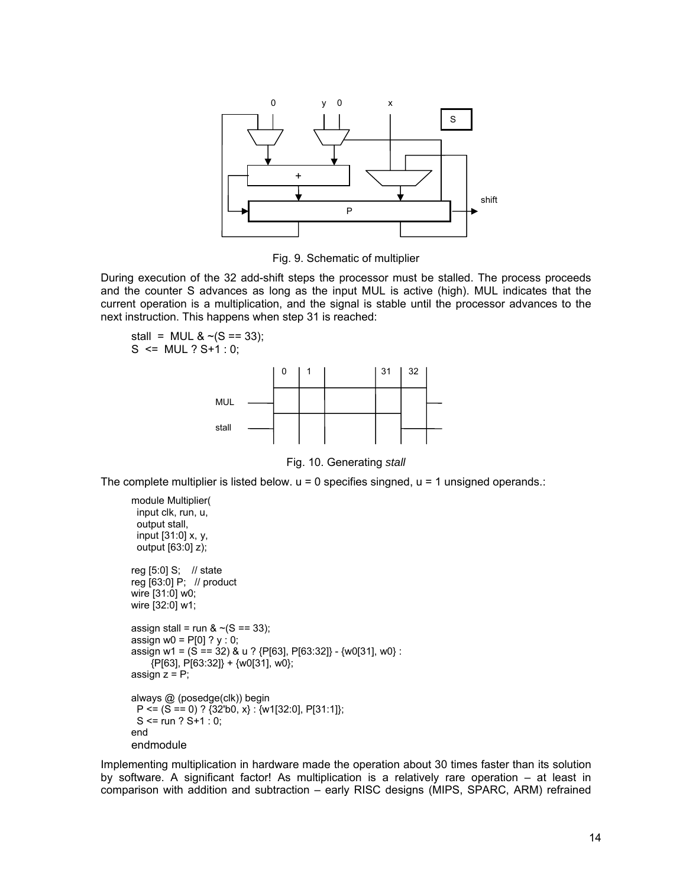

Fig. 9. Schematic of multiplier

During execution of the 32 add-shift steps the processor must be stalled. The process proceeds and the counter S advances as long as the input MUL is active (high). MUL indicates that the current operation is a multiplication, and the signal is stable until the processor advances to the next instruction. This happens when step 31 is reached:

stall = MUL &  $\sim$ (S == 33);  $S \le MUL$  ?  $S+1$  : 0:



Fig. 10. Generating *stall*

The complete multiplier is listed below.  $u = 0$  specifies singned,  $u = 1$  unsigned operands.:

```
module Multiplier(
  input clk, run, u, 
  output stall, 
  input [31:0] x, y, 
  output [63:0] z); 
reg [5:0] S; // state 
reg [63:0] P; // product 
wire [31:0] w0; 
wire [32:0] w1; 
assign stall = run & \sim(S == 33);
assign w0 = P[0] ? y : 0;
assign w1 = (S == 32) & u ? {P[63], P[63:32]} - {w0[31], w0} : 
     {P[63], P[63:32]} + {w0[31], w0}; 
assign z = P;
always @ (posedge(clk)) begin 
 P \leq (S == 0) ? {32'b0, x} : {w1[32:0], P[31:1]};
 S \leq run ? S + 1 : 0;end 
endmodule
```
Implementing multiplication in hardware made the operation about 30 times faster than its solution by software. A significant factor! As multiplication is a relatively rare operation – at least in comparison with addition and subtraction – early RISC designs (MIPS, SPARC, ARM) refrained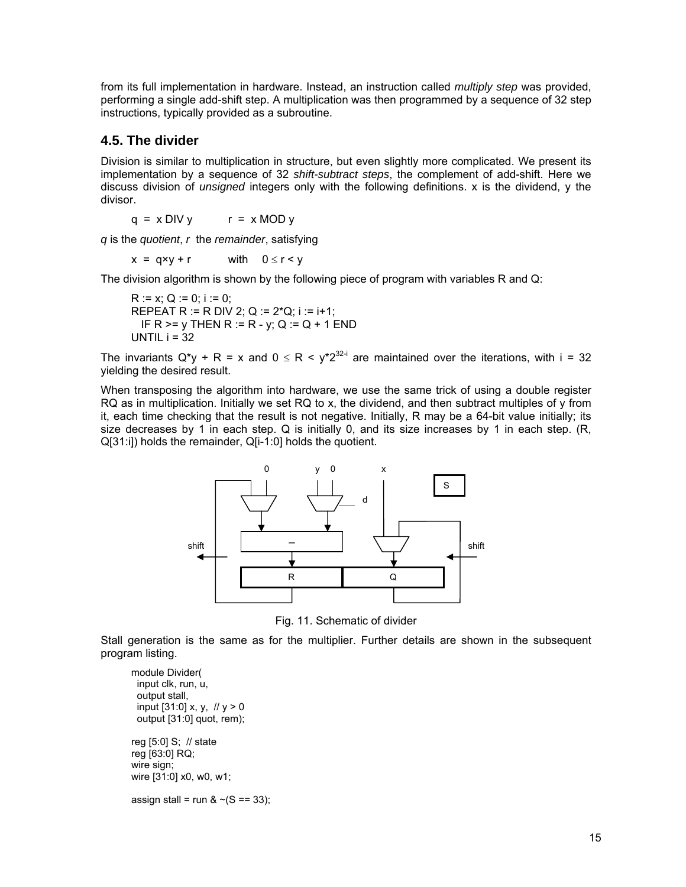from its full implementation in hardware. Instead, an instruction called *multiply step* was provided, performing a single add-shift step. A multiplication was then programmed by a sequence of 32 step instructions, typically provided as a subroutine.

# **4.5. The divider**

Division is similar to multiplication in structure, but even slightly more complicated. We present its implementation by a sequence of 32 *shift-subtract steps*, the complement of add-shift. Here we discuss division of *unsigned* integers only with the following definitions. x is the dividend, y the divisor.

 $q = x$  DIV y  $r = x$  MOD y

*q* is the *quotient*, *r* the *remainder*, satisfying

 $x = qxy + r$  with  $0 \le r < y$ 

The division algorithm is shown by the following piece of program with variables R and Q:

 $R := x: Q := 0; i := 0;$ REPEAT R := R DIV 2; Q :=  $2*Q$ ; i := i+1; IF R  $>= v$  THEN R := R - y; Q := Q + 1 END UNTIL  $i = 32$ 

The invariants Q\*y + R = x and  $0 \le R < y*2^{32-i}$  are maintained over the iterations, with i = 32 yielding the desired result.

When transposing the algorithm into hardware, we use the same trick of using a double register RQ as in multiplication. Initially we set RQ to x, the dividend, and then subtract multiples of y from it, each time checking that the result is not negative. Initially, R may be a 64-bit value initially; its size decreases by 1 in each step. Q is initially 0, and its size increases by 1 in each step. (R, Q[31:i]) holds the remainder, Q[i-1:0] holds the quotient.



Fig. 11. Schematic of divider

Stall generation is the same as for the multiplier. Further details are shown in the subsequent program listing.

```
module Divider( 
  input clk, run, u, 
  output stall, 
 input [31:0] x, y, \frac{1}{2} y > 0
  output [31:0] quot, rem); 
reg [5:0] S; // state 
reg [63:0] RQ; 
wire sign; 
wire [31:0] x0, w0, w1; 
assign stall = run & \sim(S == 33);
```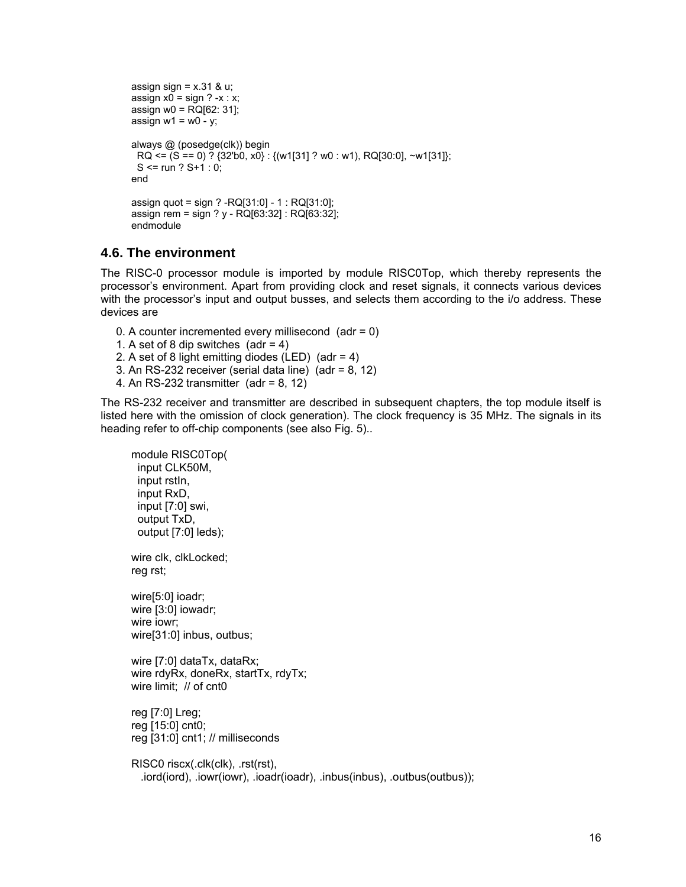```
assign sign = x.31 & u;
assign x0 = sign ? -x : x;
assign w0 = RQ[62: 31];
assign w1 = w0 - y;
always @ (posedge(clk)) begin 
 RQ \leq (S == 0) ? {32'b0, x0} : {(w1[31] ? w0 : w1), RQ[30:0], ~w1[31]};
 S <= run ? S+1:0;
end 
assign quot = sign ? -RQ[31:0] - 1 : RQ[31:0]; 
assign rem = sign ? y - RQ[63:32] : RQ[63:32]; 
endmodule
```
### **4.6. The environment**

The RISC-0 processor module is imported by module RISC0Top, which thereby represents the processor's environment. Apart from providing clock and reset signals, it connects various devices with the processor's input and output busses, and selects them according to the i/o address. These devices are

- 0. A counter incremented every millisecond (adr = 0)
- 1. A set of 8 dip switches  $(adr = 4)$
- 2. A set of 8 light emitting diodes (LED) (adr = 4)
- 3. An RS-232 receiver (serial data line) (adr =  $8$ , 12)
- 4. An RS-232 transmitter (adr = 8, 12)

The RS-232 receiver and transmitter are described in subsequent chapters, the top module itself is listed here with the omission of clock generation). The clock frequency is 35 MHz. The signals in its heading refer to off-chip components (see also Fig. 5)..

```
module RISC0Top( 
  input CLK50M, 
  input rstIn, 
  input RxD, 
  input [7:0] swi, 
  output TxD, 
  output [7:0] leds); 
wire clk, clkLocked; 
reg rst; 
wire[5:0] ioadr; 
wire [3:0] iowadr; 
wire iowr; 
wire[31:0] inbus, outbus; 
wire [7:0] dataTx, dataRx; 
wire rdyRx, doneRx, startTx, rdyTx; 
wire limit; // of cnt0 
reg [7:0] Lreg; 
reg [15:0] cnt0; 
reg [31:0] cnt1; // milliseconds 
RISC0 riscx(.clk(clk), .rst(rst), 
   .iord(iord), .iowr(iowr), .ioadr(ioadr), .inbus(inbus), .outbus(outbus));
```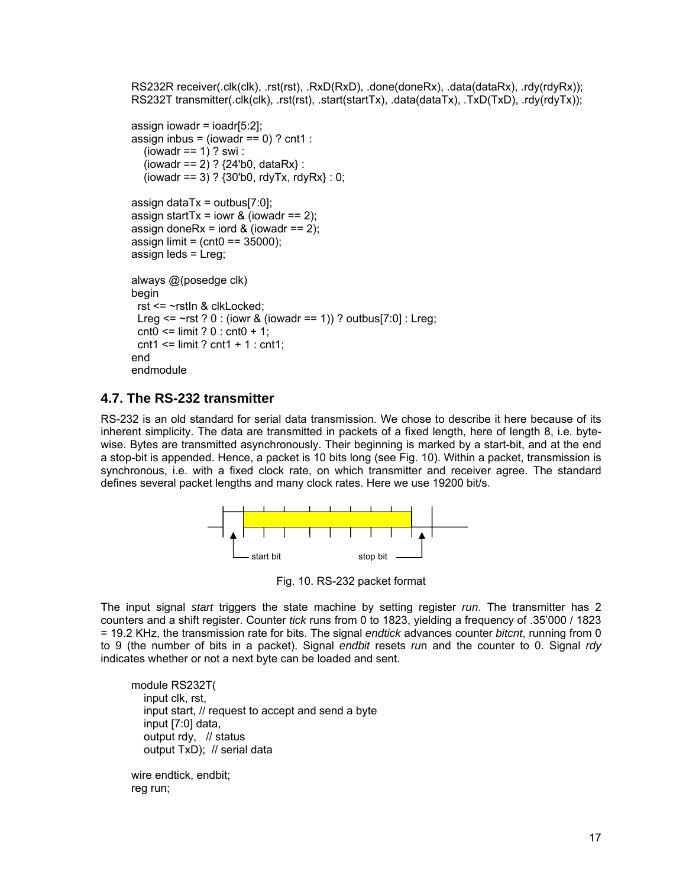```
RS232R receiver(.clk(clk), .rst(rst), .RxD(RxD), .done(doneRx), .data(dataRx), .rdy(rdyRx));
RS232T transmitter(.clk(clk), .rst(rst), .start(startTx), .data(dataTx), .TxD(TxD), .rdy(rdyTx));
assign iowadr = ioadr[5:2];
assign inbus = (iowadr == 0) ? cnt1 :
  (iowadr == 1) ? swi :
  (iowadr == 2) ? {24^{\circ}}b0, dataRx} :
  (iowadr == 3) ? {30^{\circ}b0}, rdyTx, rdyRx} : 0;
assign dataTx = outbus[7:0];
assign startTx = iowr & (iowadr == 2);
assign doneRx = iord & (iowadr == 2);
assign limit = (cnt0 = 35000);assign leds = Lreg; 
always @(posedge clk) 
begin 
  rst <= ~rstIn & clkLocked; 
 Lreg \le -rst ? 0 : (iowr & (iowadr == 1)) ? outbus[7:0] : Lreg;
 \text{cnt0} \leq \text{limit} ? 0 : \text{cnt0} + 1;
 cnt1 \le limit ? cnt1 + 1 : cnt1;
end 
endmodule
```
#### **4.7. The RS-232 transmitter**

RS-232 is an old standard for serial data transmission. We chose to describe it here because of its inherent simplicity. The data are transmitted in packets of a fixed length, here of length 8, i.e. bytewise. Bytes are transmitted asynchronously. Their beginning is marked by a start-bit, and at the end a stop-bit is appended. Hence, a packet is 10 bits long (see Fig. 10). Within a packet, transmission is synchronous, i.e. with a fixed clock rate, on which transmitter and receiver agree. The standard defines several packet lengths and many clock rates. Here we use 19200 bit/s.



Fig. 10. RS-232 packet format

The input signal *start* triggers the state machine by setting register *run*. The transmitter has 2 counters and a shift register. Counter *tick* runs from 0 to 1823, yielding a frequency of .35'000 / 1823 = 19.2 KHz, the transmission rate for bits. The signal *endtick* advances counter *bitcnt*, running from 0 to 9 (the number of bits in a packet). Signal *endbit* resets *ru*n and the counter to 0. Signal *rdy* indicates whether or not a next byte can be loaded and sent.

module RS232T( input clk, rst, input start, // request to accept and send a byte input [7:0] data, output rdy, // status output TxD); // serial data

wire endtick, endbit; reg run;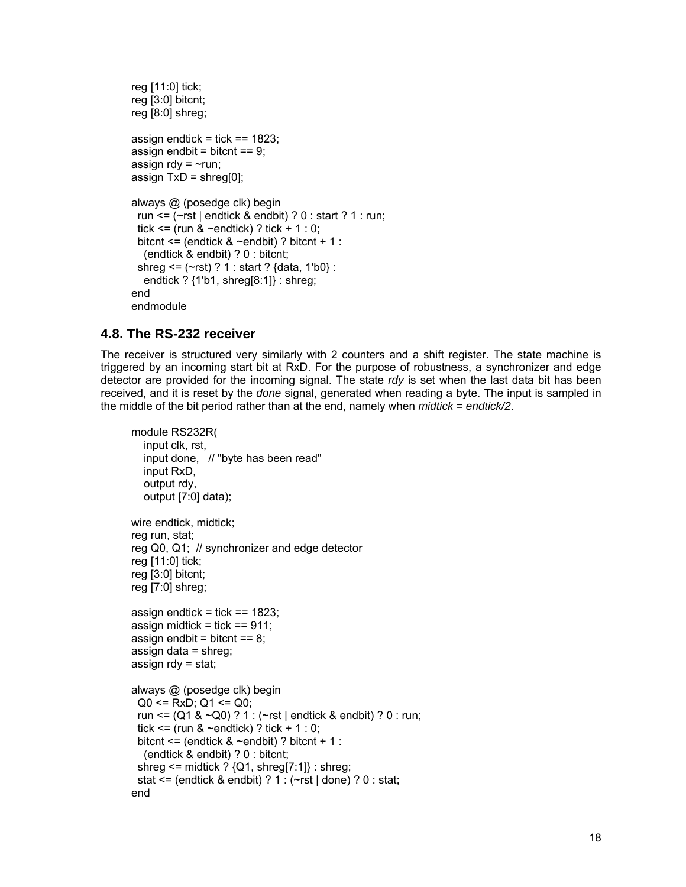```
reg [11:0] tick; 
reg [3:0] bitcnt; 
reg [8:0] shreg; 
assign endtick = tick == 1823;
assign endbit = bitcnt == 9;
assign rdy = \simrun;
assign TxD =shreg[0];
always @ (posedge clk) begin 
 run \le \le \le \le \le \le \le endtick & endbit) ? 0 : start ? 1 : run;
 tick \le (run & \simendtick) ? tick + 1 : 0;
 bitcnt \leq (endtick & \simendbit) ? bitcnt + 1 :
    (endtick & endbit) ? 0 : bitcnt; 
  shreg <= (~rst) ? 1 : start ? {data, 1'b0} : 
    endtick ? {1'b1, shreg[8:1]} : shreg; 
end 
endmodule
```
# **4.8. The RS-232 receiver**

The receiver is structured very similarly with 2 counters and a shift register. The state machine is triggered by an incoming start bit at RxD. For the purpose of robustness, a synchronizer and edge detector are provided for the incoming signal. The state *rdy* is set when the last data bit has been received, and it is reset by the *done* signal, generated when reading a byte. The input is sampled in the middle of the bit period rather than at the end, namely when *midtick = endtick/2*.

```
module RS232R( 
    input clk, rst, 
    input done, // "byte has been read" 
    input RxD, 
    output rdy, 
    output [7:0] data); 
wire endtick, midtick; 
reg run, stat; 
reg Q0, Q1; // synchronizer and edge detector 
reg [11:0] tick; 
reg [3:0] bitcnt; 
reg [7:0] shreg; 
assign endtick = tick == 1823;
assign midtick = tick == 911;
assign endbit = bitcnt == 8;
assign data = shreg; 
assign \text{rdy} = \text{stat};
always @ (posedge clk) begin 
 Q0 \le RxD; Q1 \le Q0;
  run <= (Q1 & ~Q0) ? 1 : (~rst | endtick & endbit) ? 0 : run; 
 tick \le (run & \simendtick) ? tick + 1 : 0;
 bitcnt \leq (endtick & \simendbit) ? bitcnt + 1 :
   (endtick & endbit) ? 0 : bitcnt; 
 shreg \le midtick ? \{Q1, \text{shreg}[7:1]\}: shreg;
  stat <= (endtick & endbit) ? 1 : (~rst | done) ? 0 : stat; 
end
```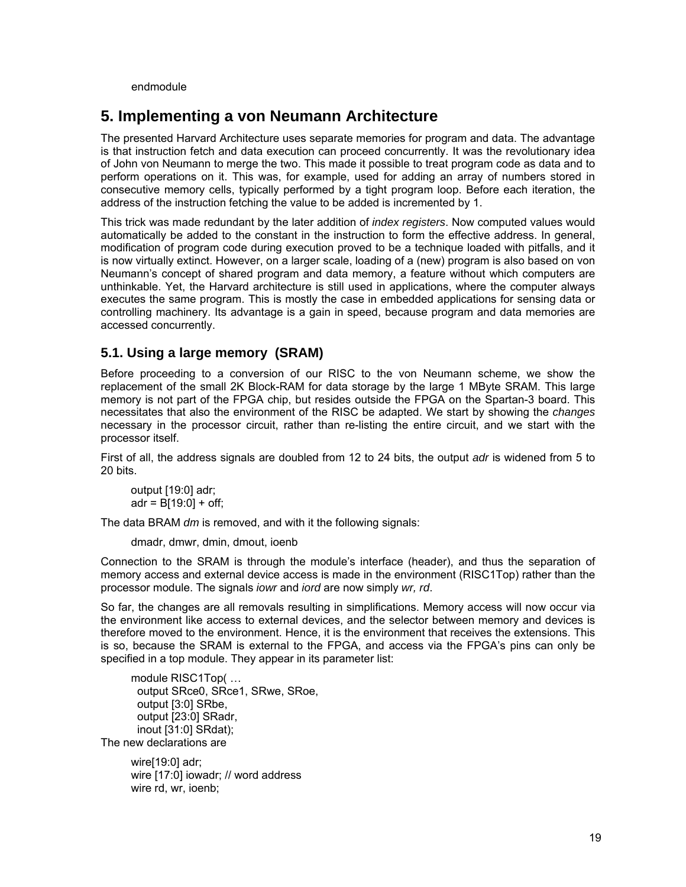endmodule

# **5. Implementing a von Neumann Architecture**

The presented Harvard Architecture uses separate memories for program and data. The advantage is that instruction fetch and data execution can proceed concurrently. It was the revolutionary idea of John von Neumann to merge the two. This made it possible to treat program code as data and to perform operations on it. This was, for example, used for adding an array of numbers stored in consecutive memory cells, typically performed by a tight program loop. Before each iteration, the address of the instruction fetching the value to be added is incremented by 1.

This trick was made redundant by the later addition of *index registers*. Now computed values would automatically be added to the constant in the instruction to form the effective address. In general, modification of program code during execution proved to be a technique loaded with pitfalls, and it is now virtually extinct. However, on a larger scale, loading of a (new) program is also based on von Neumann's concept of shared program and data memory, a feature without which computers are unthinkable. Yet, the Harvard architecture is still used in applications, where the computer always executes the same program. This is mostly the case in embedded applications for sensing data or controlling machinery. Its advantage is a gain in speed, because program and data memories are accessed concurrently.

# **5.1. Using a large memory (SRAM)**

Before proceeding to a conversion of our RISC to the von Neumann scheme, we show the replacement of the small 2K Block-RAM for data storage by the large 1 MByte SRAM. This large memory is not part of the FPGA chip, but resides outside the FPGA on the Spartan-3 board. This necessitates that also the environment of the RISC be adapted. We start by showing the *changes* necessary in the processor circuit, rather than re-listing the entire circuit, and we start with the processor itself.

First of all, the address signals are doubled from 12 to 24 bits, the output *adr* is widened from 5 to 20 bits.

```
output [19:0] adr; 
adr = B[19:0] + off;
```
The data BRAM *dm* is removed, and with it the following signals:

dmadr, dmwr, dmin, dmout, ioenb

Connection to the SRAM is through the module's interface (header), and thus the separation of memory access and external device access is made in the environment (RISC1Top) rather than the processor module. The signals *iowr* and *iord* are now simply *wr, rd*.

So far, the changes are all removals resulting in simplifications. Memory access will now occur via the environment like access to external devices, and the selector between memory and devices is therefore moved to the environment. Hence, it is the environment that receives the extensions. This is so, because the SRAM is external to the FPGA, and access via the FPGA's pins can only be specified in a top module. They appear in its parameter list:

module RISC1Top( … output SRce0, SRce1, SRwe, SRoe, output [3:0] SRbe, output [23:0] SRadr, inout [31:0] SRdat); The new declarations are

> wire[19:0] adr; wire [17:0] iowadr; // word address wire rd, wr, ioenb;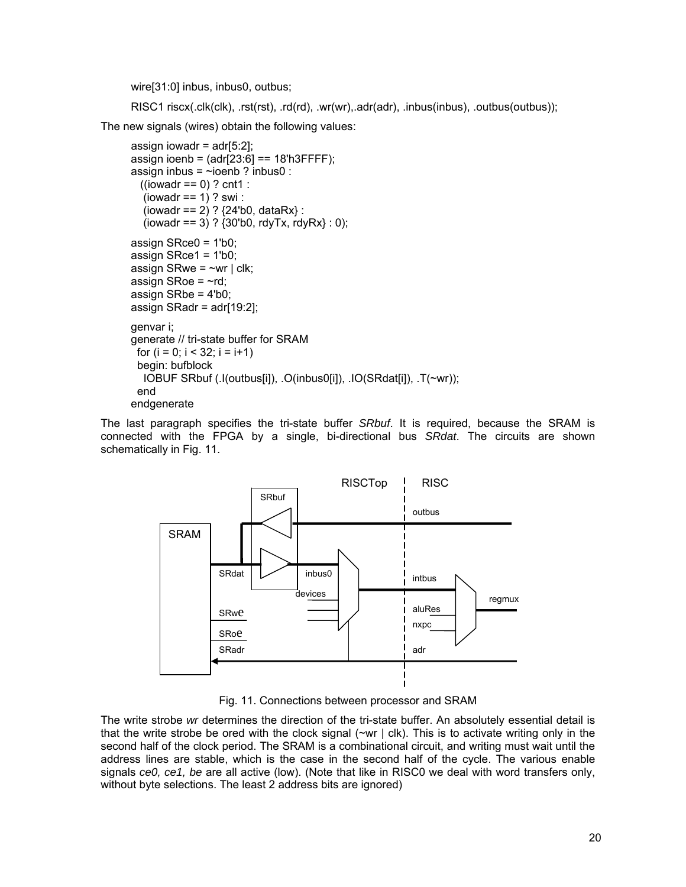wire[31:0] inbus, inbus0, outbus;

RISC1 riscx(.clk(clk), .rst(rst), .rd(rd), .wr(wr),.adr(adr), .inbus(inbus), .outbus(outbus));

The new signals (wires) obtain the following values:

```
assign iowadr = adr[5:2];
assign ioenb = (adr[23:6] == 18'h3FFFF);
assign inbus = \simioenb ? inbus0 :
  ((iowardr == 0) ? cnt1 :
  (iowadr == 1) ? swi :
  (iowadr == 2) ? {24^{\circ}}b0, dataRx} :
  (iowadr == 3) ? (30<sup>i</sup>b0, rdyTx, rdyRx): 0;
assign SRce0 = 1'b0; 
assign SRce1 = 1'b0; 
assign SRwe = \simwr | clk;
assign SRoe = \negrd;
assign SRbe = 4'b0; 
assign SRadr = adr[19:2]; 
genvar i; 
generate // tri-state buffer for SRAM 
 for (i = 0; i < 32; i = i+1) begin: bufblock 
   IOBUF SRbuf (.I(outbus[i]), .O(inbus0[i]), .IO(SRdat[i]), .T(~wr)); 
  end 
endgenerate
```
The last paragraph specifies the tri-state buffer *SRbuf*. It is required, because the SRAM is connected with the FPGA by a single, bi-directional bus *SRdat*. The circuits are shown schematically in Fig. 11.



Fig. 11. Connections between processor and SRAM

The write strobe *wr* determines the direction of the tri-state buffer. An absolutely essential detail is that the write strobe be ored with the clock signal  $(\sim wr \mid c\mathsf{lk})$ . This is to activate writing only in the second half of the clock period. The SRAM is a combinational circuit, and writing must wait until the address lines are stable, which is the case in the second half of the cycle. The various enable signals *ce0, ce1, be* are all active (low). (Note that like in RISC0 we deal with word transfers only, without byte selections. The least 2 address bits are ignored)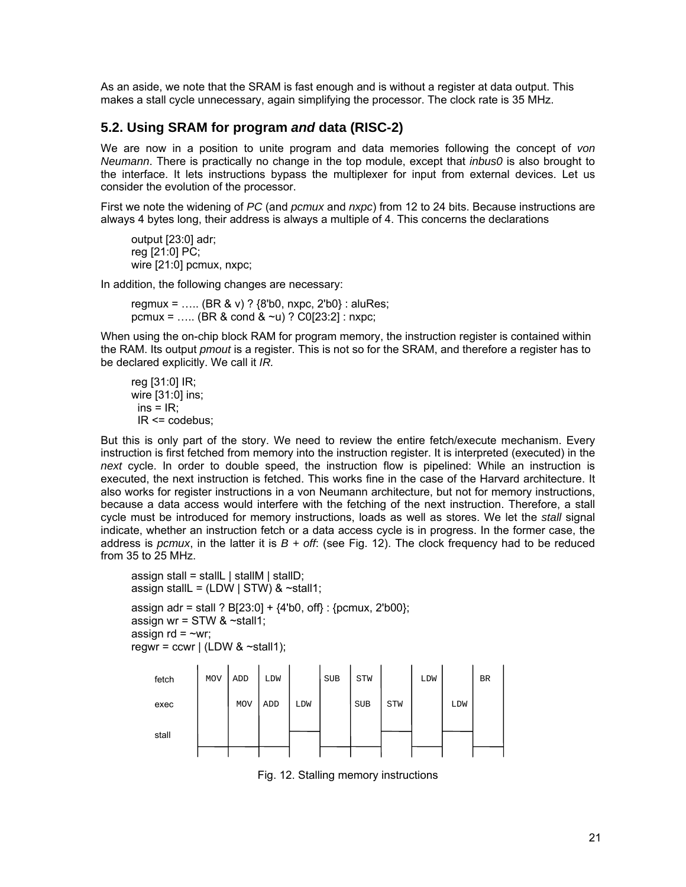As an aside, we note that the SRAM is fast enough and is without a register at data output. This makes a stall cycle unnecessary, again simplifying the processor. The clock rate is 35 MHz.

#### **5.2. Using SRAM for program** *and* **data (RISC-2)**

We are now in a position to unite program and data memories following the concept of *von Neumann*. There is practically no change in the top module, except that *inbus0* is also brought to the interface. It lets instructions bypass the multiplexer for input from external devices. Let us consider the evolution of the processor.

First we note the widening of *PC* (and *pcmux* and *nxpc*) from 12 to 24 bits. Because instructions are always 4 bytes long, their address is always a multiple of 4. This concerns the declarations

output [23:0] adr; reg [21:0] PC; wire [21:0] pcmux, nxpc;

In addition, the following changes are necessary:

regmux = ….. (BR & v) ? {8'b0, nxpc, 2'b0} : aluRes; pcmux = ..... (BR & cond &  $\sim$ u) ? C0[23:2] : nxpc;

When using the on-chip block RAM for program memory, the instruction register is contained within the RAM. Its output *pmout* is a register. This is not so for the SRAM, and therefore a register has to be declared explicitly. We call it *IR.*

```
reg [31:0] IR; 
wire [31:0] ins; 
 ins = IR;
 IR \leq \text{codebus}
```
But this is only part of the story. We need to review the entire fetch/execute mechanism. Every instruction is first fetched from memory into the instruction register. It is interpreted (executed) in the *next* cycle. In order to double speed, the instruction flow is pipelined: While an instruction is executed, the next instruction is fetched. This works fine in the case of the Harvard architecture. It also works for register instructions in a von Neumann architecture, but not for memory instructions, because a data access would interfere with the fetching of the next instruction. Therefore, a stall cycle must be introduced for memory instructions, loads as well as stores. We let the *stall* signal indicate, whether an instruction fetch or a data access cycle is in progress. In the former case, the address is *pcmux*, in the latter it is *B + off*: (see Fig. 12). The clock frequency had to be reduced from 35 to 25 MHz.

assign stall = stallL  $\vert$  stallM  $\vert$  stallD; assign stallL =  $(LDW \mid STW)$  &  $\sim$ stall1;

assign adr = stall ?  $B[23:0] + \{4'b0, \text{off}\}$ : {pcmux, 2'b00}; assign wr =  $STW$  &  $\sim$ stall1; assign  $rd = \sim wr$ ; regwr = ccwr  $\vert$  (LDW & ~stall1);



Fig. 12. Stalling memory instructions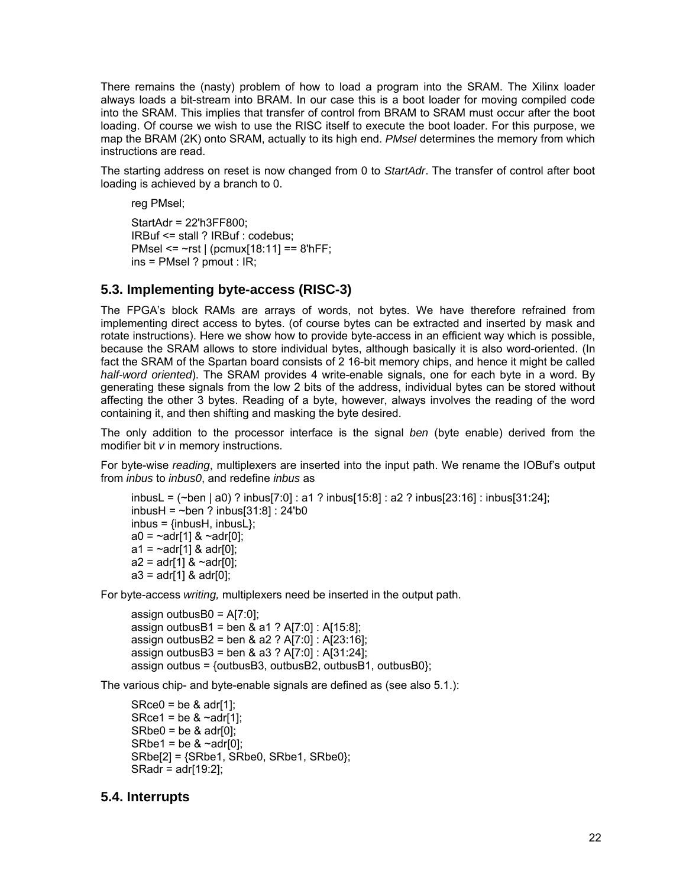There remains the (nasty) problem of how to load a program into the SRAM. The Xilinx loader always loads a bit-stream into BRAM. In our case this is a boot loader for moving compiled code into the SRAM. This implies that transfer of control from BRAM to SRAM must occur after the boot loading. Of course we wish to use the RISC itself to execute the boot loader. For this purpose, we map the BRAM (2K) onto SRAM, actually to its high end. *PMsel* determines the memory from which instructions are read.

The starting address on reset is now changed from 0 to *StartAdr*. The transfer of control after boot loading is achieved by a branch to 0.

reg PMsel;

StartAdr = 22'h3FF800; IRBuf <= stall ? IRBuf : codebus; PMsel <= ~rst | (pcmux[18:11] == 8'hFF; ins = PMsel ? pmout : IR;

# **5.3. Implementing byte-access (RISC-3)**

The FPGA's block RAMs are arrays of words, not bytes. We have therefore refrained from implementing direct access to bytes. (of course bytes can be extracted and inserted by mask and rotate instructions). Here we show how to provide byte-access in an efficient way which is possible, because the SRAM allows to store individual bytes, although basically it is also word-oriented. (In fact the SRAM of the Spartan board consists of 2 16-bit memory chips, and hence it might be called *half-word oriented*). The SRAM provides 4 write-enable signals, one for each byte in a word. By generating these signals from the low 2 bits of the address, individual bytes can be stored without affecting the other 3 bytes. Reading of a byte, however, always involves the reading of the word containing it, and then shifting and masking the byte desired.

The only addition to the processor interface is the signal *ben* (byte enable) derived from the modifier bit *v* in memory instructions.

For byte-wise *reading*, multiplexers are inserted into the input path. We rename the IOBuf's output from *inbus* to *inbus0*, and redefine *inbus* as

```
inbusL = (~ben | a0) ? inbus[7:0] : a1 ? inbus[15:8] : a2 ? inbus[23:16] : inbus[31:24]; 
inbusH = \simben ? inbus[31:8] : 24'b0
inbus = \{inbusH, inbusL\};
a0 = -adr[1] & -adr[0];
a1 = -a \frac{d}{1} & a \frac{d}{0};
a2 = adr[1] & ~adr[0];
a3 = adr[1] & adr[0];
```
For byte-access *writing,* multiplexers need be inserted in the output path.

```
assign outbusB0 = A[7:0];
assign outbusB1 = ben & a1 ? A[7:0] : A[15:8];
assign outbusB2 = ben & a2 ? A[7:0] : A[23:16];
assign outbusB3 = ben & a3 ? A[7:0] : A[31:24]; 
assign outbus = {outbusB3, outbusB2, outbusB1, outbusB0};
```
The various chip- and byte-enable signals are defined as (see also 5.1.):

 $SRece0 = be 8 adr[1];$ SRce1 = be  $&$  ~adr[1];  $SRbe0 = be 8 adr[0];$ SRbe1 = be &  $\sim$ adr[0]; SRbe[2] = {SRbe1, SRbe0, SRbe1, SRbe0}; SRadr = adr[19:2];

### **5.4. Interrupts**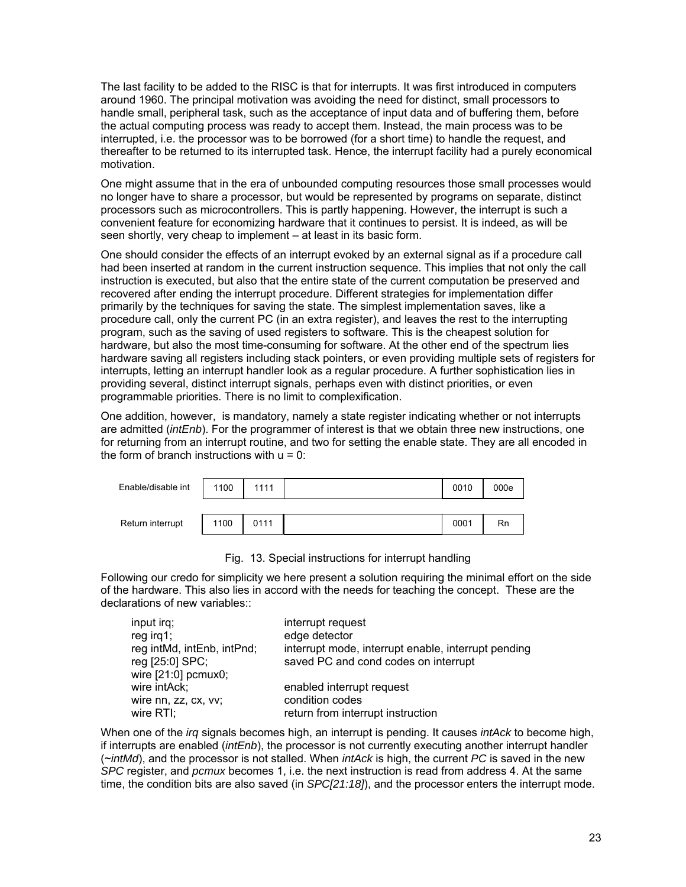The last facility to be added to the RISC is that for interrupts. It was first introduced in computers around 1960. The principal motivation was avoiding the need for distinct, small processors to handle small, peripheral task, such as the acceptance of input data and of buffering them, before the actual computing process was ready to accept them. Instead, the main process was to be interrupted, i.e. the processor was to be borrowed (for a short time) to handle the request, and thereafter to be returned to its interrupted task. Hence, the interrupt facility had a purely economical motivation.

One might assume that in the era of unbounded computing resources those small processes would no longer have to share a processor, but would be represented by programs on separate, distinct processors such as microcontrollers. This is partly happening. However, the interrupt is such a convenient feature for economizing hardware that it continues to persist. It is indeed, as will be seen shortly, very cheap to implement – at least in its basic form.

One should consider the effects of an interrupt evoked by an external signal as if a procedure call had been inserted at random in the current instruction sequence. This implies that not only the call instruction is executed, but also that the entire state of the current computation be preserved and recovered after ending the interrupt procedure. Different strategies for implementation differ primarily by the techniques for saving the state. The simplest implementation saves, like a procedure call, only the current PC (in an extra register), and leaves the rest to the interrupting program, such as the saving of used registers to software. This is the cheapest solution for hardware, but also the most time-consuming for software. At the other end of the spectrum lies hardware saving all registers including stack pointers, or even providing multiple sets of registers for interrupts, letting an interrupt handler look as a regular procedure. A further sophistication lies in providing several, distinct interrupt signals, perhaps even with distinct priorities, or even programmable priorities. There is no limit to complexification.

One addition, however, is mandatory, namely a state register indicating whether or not interrupts are admitted (*intEnb*). For the programmer of interest is that we obtain three new instructions, one for returning from an interrupt routine, and two for setting the enable state. They are all encoded in the form of branch instructions with  $u = 0$ :

| Enable/disable int | 1100 | 1111 | 0010 | 000e |
|--------------------|------|------|------|------|
|                    |      |      |      |      |
| Return interrupt   | 1100 | 0111 | 0001 | Rn   |

Fig. 13. Special instructions for interrupt handling

Following our credo for simplicity we here present a solution requiring the minimal effort on the side of the hardware. This also lies in accord with the needs for teaching the concept. These are the declarations of new variables::

| input irg;                 | interrupt request                                   |
|----------------------------|-----------------------------------------------------|
| $reg$ irg1;                | edge detector                                       |
| reg intMd, intEnb, intPnd; | interrupt mode, interrupt enable, interrupt pending |
| reg [25:0] SPC;            | saved PC and cond codes on interrupt                |
| wire $[21:0]$ pcmux0;      |                                                     |
| wire intAck;               | enabled interrupt request                           |
| wire nn, zz, cx, vv;       | condition codes                                     |
| wire RTI;                  | return from interrupt instruction                   |

When one of the *irq* signals becomes high, an interrupt is pending. It causes *intAck* to become high, if interrupts are enabled (*intEnb*), the processor is not currently executing another interrupt handler (~*intMd*), and the processor is not stalled. When *intAck* is high, the current *PC* is saved in the new *SPC* register, and *pcmux* becomes 1, i.e. the next instruction is read from address 4. At the same time, the condition bits are also saved (in *SPC[21:18]*), and the processor enters the interrupt mode.